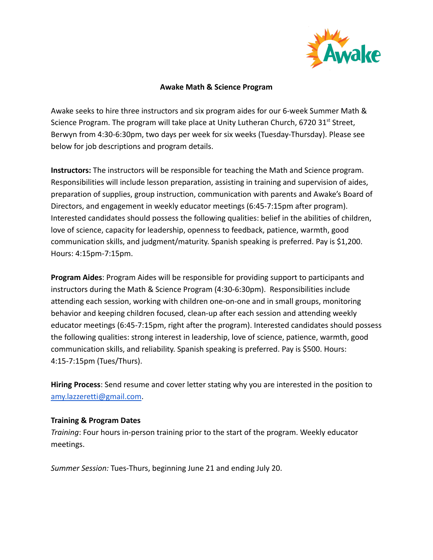

#### **Awake Math & Science Program**

Awake seeks to hire three instructors and six program aides for our 6-week Summer Math & Science Program. The program will take place at Unity Lutheran Church, 6720  $31^{st}$  Street, Berwyn from 4:30-6:30pm, two days per week for six weeks (Tuesday-Thursday). Please see below for job descriptions and program details.

**Instructors:** The instructors will be responsible for teaching the Math and Science program. Responsibilities will include lesson preparation, assisting in training and supervision of aides, preparation of supplies, group instruction, communication with parents and Awake's Board of Directors, and engagement in weekly educator meetings (6:45-7:15pm after program). Interested candidates should possess the following qualities: belief in the abilities of children, love of science, capacity for leadership, openness to feedback, patience, warmth, good communication skills, and judgment/maturity. Spanish speaking is preferred. Pay is \$1,200. Hours: 4:15pm-7:15pm.

**Program Aides**: Program Aides will be responsible for providing support to participants and instructors during the Math & Science Program (4:30-6:30pm). Responsibilities include attending each session, working with children one-on-one and in small groups, monitoring behavior and keeping children focused, clean-up after each session and attending weekly educator meetings (6:45-7:15pm, right after the program). Interested candidates should possess the following qualities: strong interest in leadership, love of science, patience, warmth, good communication skills, and reliability. Spanish speaking is preferred. Pay is \$500. Hours: 4:15-7:15pm (Tues/Thurs).

**Hiring Process**: Send resume and cover letter stating why you are interested in the position to [amy.lazzeretti@gmail.com](mailto:amy.lazzeretti@gmail.com).

#### **Training & Program Dates**

*Training*: Four hours in-person training prior to the start of the program. Weekly educator meetings.

*Summer Session:* Tues-Thurs, beginning June 21 and ending July 20.